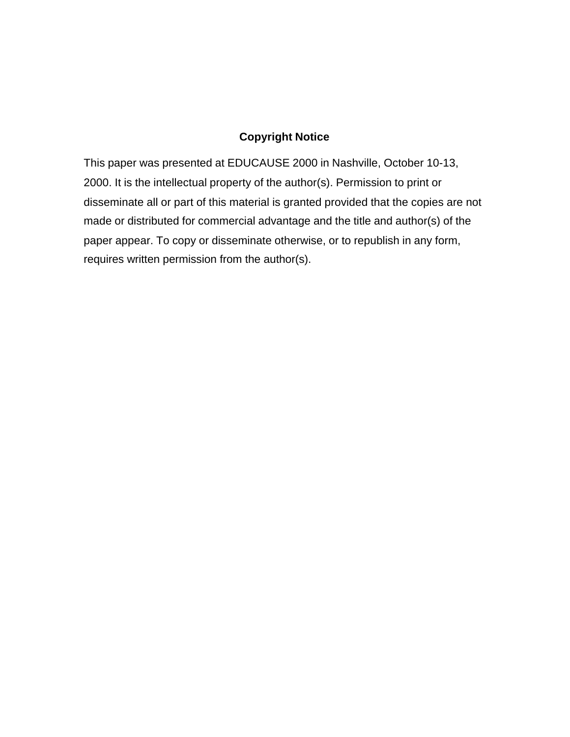## **Copyright Notice**

This paper was presented at EDUCAUSE 2000 in Nashville, October 10-13, 2000. It is the intellectual property of the author(s). Permission to print or disseminate all or part of this material is granted provided that the copies are not made or distributed for commercial advantage and the title and author(s) of the paper appear. To copy or disseminate otherwise, or to republish in any form, requires written permission from the author(s).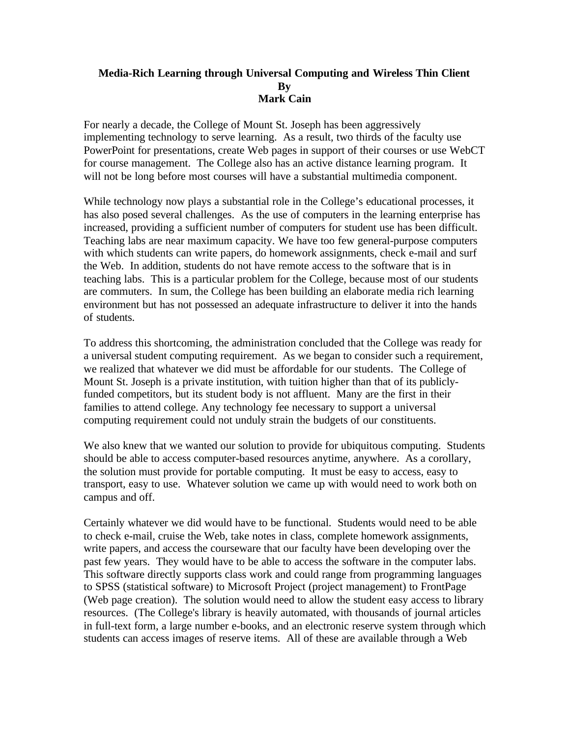## **Media-Rich Learning through Universal Computing and Wireless Thin Client By Mark Cain**

For nearly a decade, the College of Mount St. Joseph has been aggressively implementing technology to serve learning. As a result, two thirds of the faculty use PowerPoint for presentations, create Web pages in support of their courses or use WebCT for course management. The College also has an active distance learning program. It will not be long before most courses will have a substantial multimedia component.

While technology now plays a substantial role in the College's educational processes, it has also posed several challenges. As the use of computers in the learning enterprise has increased, providing a sufficient number of computers for student use has been difficult. Teaching labs are near maximum capacity. We have too few general-purpose computers with which students can write papers, do homework assignments, check e-mail and surf the Web. In addition, students do not have remote access to the software that is in teaching labs. This is a particular problem for the College, because most of our students are commuters. In sum, the College has been building an elaborate media rich learning environment but has not possessed an adequate infrastructure to deliver it into the hands of students.

To address this shortcoming, the administration concluded that the College was ready for a universal student computing requirement. As we began to consider such a requirement, we realized that whatever we did must be affordable for our students. The College of Mount St. Joseph is a private institution, with tuition higher than that of its publiclyfunded competitors, but its student body is not affluent. Many are the first in their families to attend college. Any technology fee necessary to support a universal computing requirement could not unduly strain the budgets of our constituents.

We also knew that we wanted our solution to provide for ubiquitous computing. Students should be able to access computer-based resources anytime, anywhere. As a corollary, the solution must provide for portable computing. It must be easy to access, easy to transport, easy to use. Whatever solution we came up with would need to work both on campus and off.

Certainly whatever we did would have to be functional. Students would need to be able to check e-mail, cruise the Web, take notes in class, complete homework assignments, write papers, and access the courseware that our faculty have been developing over the past few years. They would have to be able to access the software in the computer labs. This software directly supports class work and could range from programming languages to SPSS (statistical software) to Microsoft Project (project management) to FrontPage (Web page creation). The solution would need to allow the student easy access to library resources. (The College's library is heavily automated, with thousands of journal articles in full-text form, a large number e-books, and an electronic reserve system through which students can access images of reserve items. All of these are available through a Web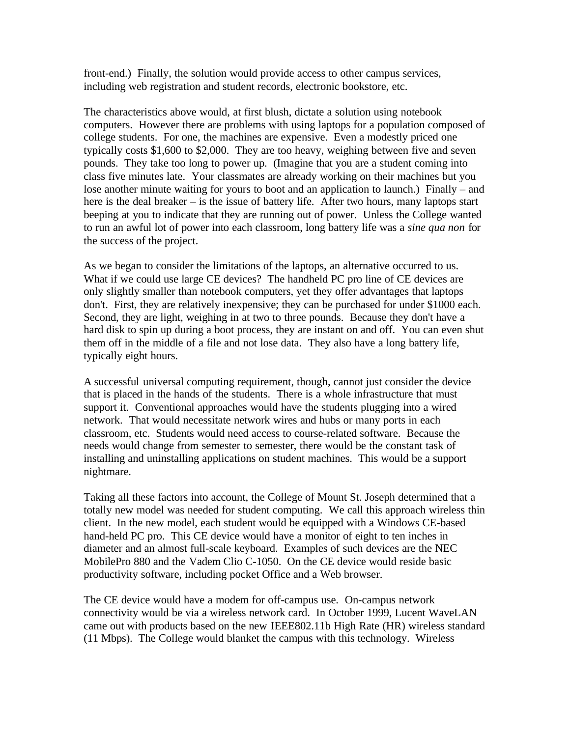front-end.) Finally, the solution would provide access to other campus services, including web registration and student records, electronic bookstore, etc.

The characteristics above would, at first blush, dictate a solution using notebook computers. However there are problems with using laptops for a population composed of college students. For one, the machines are expensive. Even a modestly priced one typically costs \$1,600 to \$2,000. They are too heavy, weighing between five and seven pounds. They take too long to power up. (Imagine that you are a student coming into class five minutes late. Your classmates are already working on their machines but you lose another minute waiting for yours to boot and an application to launch.) Finally – and here is the deal breaker – is the issue of battery life. After two hours, many laptops start beeping at you to indicate that they are running out of power. Unless the College wanted to run an awful lot of power into each classroom, long battery life was a *sine qua non* for the success of the project.

As we began to consider the limitations of the laptops, an alternative occurred to us. What if we could use large CE devices? The handheld PC pro line of CE devices are only slightly smaller than notebook computers, yet they offer advantages that laptops don't. First, they are relatively inexpensive; they can be purchased for under \$1000 each. Second, they are light, weighing in at two to three pounds. Because they don't have a hard disk to spin up during a boot process, they are instant on and off. You can even shut them off in the middle of a file and not lose data. They also have a long battery life, typically eight hours.

A successful universal computing requirement, though, cannot just consider the device that is placed in the hands of the students. There is a whole infrastructure that must support it. Conventional approaches would have the students plugging into a wired network. That would necessitate network wires and hubs or many ports in each classroom, etc. Students would need access to course-related software. Because the needs would change from semester to semester, there would be the constant task of installing and uninstalling applications on student machines. This would be a support nightmare.

Taking all these factors into account, the College of Mount St. Joseph determined that a totally new model was needed for student computing. We call this approach wireless thin client. In the new model, each student would be equipped with a Windows CE-based hand-held PC pro. This CE device would have a monitor of eight to ten inches in diameter and an almost full-scale keyboard. Examples of such devices are the NEC MobilePro 880 and the Vadem Clio C-1050. On the CE device would reside basic productivity software, including pocket Office and a Web browser.

The CE device would have a modem for off-campus use. On-campus network connectivity would be via a wireless network card. In October 1999, Lucent WaveLAN came out with products based on the new IEEE802.11b High Rate (HR) wireless standard (11 Mbps). The College would blanket the campus with this technology. Wireless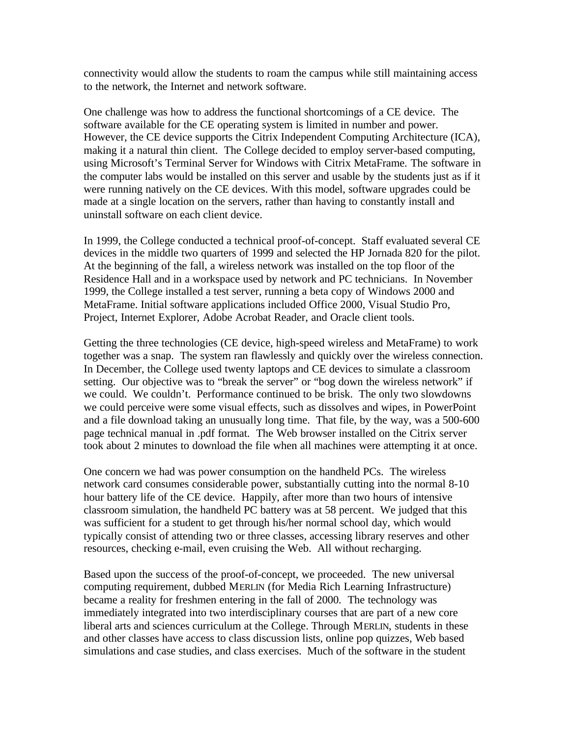connectivity would allow the students to roam the campus while still maintaining access to the network, the Internet and network software.

One challenge was how to address the functional shortcomings of a CE device. The software available for the CE operating system is limited in number and power. However, the CE device supports the Citrix Independent Computing Architecture (ICA), making it a natural thin client. The College decided to employ server-based computing, using Microsoft's Terminal Server for Windows with Citrix MetaFrame. The software in the computer labs would be installed on this server and usable by the students just as if it were running natively on the CE devices. With this model, software upgrades could be made at a single location on the servers, rather than having to constantly install and uninstall software on each client device.

In 1999, the College conducted a technical proof-of-concept. Staff evaluated several CE devices in the middle two quarters of 1999 and selected the HP Jornada 820 for the pilot. At the beginning of the fall, a wireless network was installed on the top floor of the Residence Hall and in a workspace used by network and PC technicians. In November 1999, the College installed a test server, running a beta copy of Windows 2000 and MetaFrame. Initial software applications included Office 2000, Visual Studio Pro, Project, Internet Explorer, Adobe Acrobat Reader, and Oracle client tools.

Getting the three technologies (CE device, high-speed wireless and MetaFrame) to work together was a snap. The system ran flawlessly and quickly over the wireless connection. In December, the College used twenty laptops and CE devices to simulate a classroom setting. Our objective was to "break the server" or "bog down the wireless network" if we could. We couldn't. Performance continued to be brisk. The only two slowdowns we could perceive were some visual effects, such as dissolves and wipes, in PowerPoint and a file download taking an unusually long time. That file, by the way, was a 500-600 page technical manual in .pdf format. The Web browser installed on the Citrix server took about 2 minutes to download the file when all machines were attempting it at once.

One concern we had was power consumption on the handheld PCs. The wireless network card consumes considerable power, substantially cutting into the normal 8-10 hour battery life of the CE device. Happily, after more than two hours of intensive classroom simulation, the handheld PC battery was at 58 percent. We judged that this was sufficient for a student to get through his/her normal school day, which would typically consist of attending two or three classes, accessing library reserves and other resources, checking e-mail, even cruising the Web. All without recharging.

Based upon the success of the proof-of-concept, we proceeded. The new universal computing requirement, dubbed MERLIN (for Media Rich Learning Infrastructure) became a reality for freshmen entering in the fall of 2000. The technology was immediately integrated into two interdisciplinary courses that are part of a new core liberal arts and sciences curriculum at the College. Through MERLIN, students in these and other classes have access to class discussion lists, online pop quizzes, Web based simulations and case studies, and class exercises. Much of the software in the student